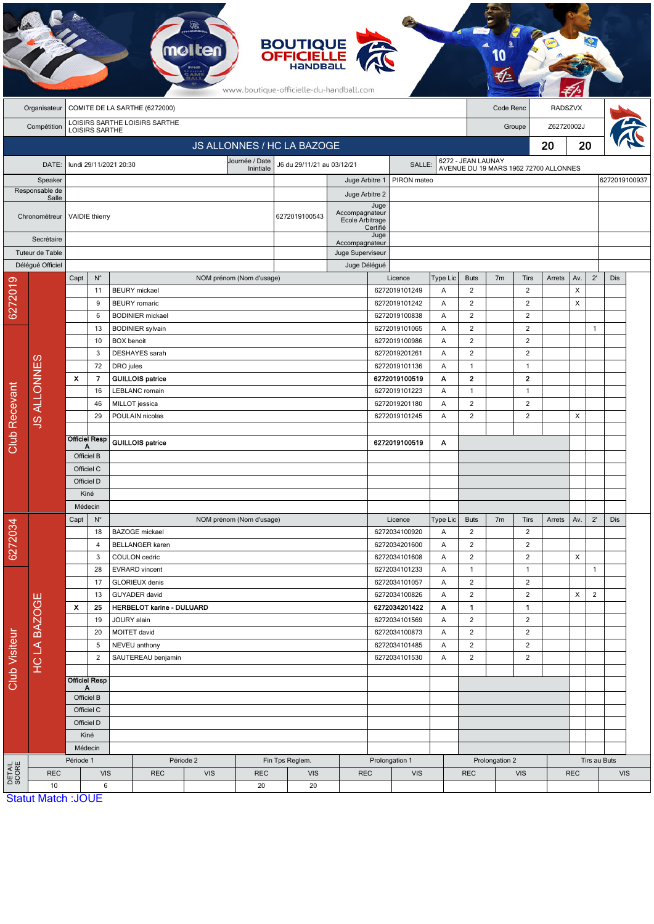|                               |                            |                                                       |                         |                                                 | mo                                           |                          |            | <b>BOUTIQUE<br/>OFFICIELLE</b><br>www.boutique-officielle-du-handball.com |                                   |                                |                                |                                |                                  |                                |                                       |            |                |                |               |  |
|-------------------------------|----------------------------|-------------------------------------------------------|-------------------------|-------------------------------------------------|----------------------------------------------|--------------------------|------------|---------------------------------------------------------------------------|-----------------------------------|--------------------------------|--------------------------------|--------------------------------|----------------------------------|--------------------------------|---------------------------------------|------------|----------------|----------------|---------------|--|
|                               | Organisateur               | COMITE DE LA SARTHE (6272000)                         |                         |                                                 |                                              |                          |            |                                                                           |                                   |                                |                                |                                |                                  | Code Renc                      |                                       |            | <b>RADSZVX</b> |                |               |  |
|                               |                            | LOISIRS SARTHE LOISIRS SARTHE                         |                         |                                                 |                                              |                          |            |                                                                           |                                   |                                |                                |                                |                                  |                                |                                       |            |                |                |               |  |
| Compétition<br>LOISIRS SARTHE |                            |                                                       |                         |                                                 |                                              |                          |            |                                                                           |                                   |                                |                                |                                | Groupe                           |                                |                                       | Z62720002J |                |                |               |  |
|                               | JS ALLONNES / HC LA BAZOGE |                                                       |                         |                                                 |                                              |                          |            |                                                                           |                                   |                                |                                |                                |                                  | 20                             | 20                                    |            |                |                |               |  |
|                               | DATE:                      | Journée / Date<br>lundi 29/11/2021 20:30<br>Inintiale |                         |                                                 |                                              |                          |            | J6 du 29/11/21 au 03/12/21                                                |                                   | SALLE:                         |                                | 6272 - JEAN LAUNAY             |                                  |                                | AVENUE DU 19 MARS 1962 72700 ALLONNES |            |                |                |               |  |
| Speaker                       |                            |                                                       |                         |                                                 |                                              |                          |            |                                                                           |                                   | PIRON mateo<br>Juge Arbitre 1  |                                |                                |                                  |                                |                                       |            |                |                | 6272019100937 |  |
| Responsable de<br>Salle       |                            |                                                       |                         |                                                 |                                              |                          |            |                                                                           | Juge Arbitre 2                    |                                |                                |                                |                                  |                                |                                       |            |                |                |               |  |
|                               | Chronométreur              |                                                       | <b>VAIDIE</b> thierry   |                                                 |                                              |                          |            | 6272019100543                                                             | Accompagnateur<br>Ecole Arbitrage | Juge<br>Certifié               |                                |                                |                                  |                                |                                       |            |                |                |               |  |
| Secrétaire                    |                            |                                                       |                         |                                                 |                                              |                          |            |                                                                           | Accompagnateur                    | Juge                           |                                |                                |                                  |                                |                                       |            |                |                |               |  |
|                               | Tuteur de Table            |                                                       |                         |                                                 |                                              |                          |            |                                                                           | Juge Superviseur                  |                                |                                |                                |                                  |                                |                                       |            |                |                |               |  |
|                               | Délégué Officiel           |                                                       |                         |                                                 |                                              |                          |            |                                                                           | Juge Délégué                      |                                |                                |                                |                                  |                                |                                       |            |                |                |               |  |
|                               |                            | Capt                                                  | $\mathsf{N}^\circ$      |                                                 |                                              | NOM prénom (Nom d'usage) |            |                                                                           |                                   |                                | Licence                        | Type Lic                       | <b>Buts</b>                      | 7 <sub>m</sub>                 | Tirs                                  | Arrets     | Av.            | $2^{\circ}$    | Dis           |  |
|                               |                            |                                                       | 11<br>9                 |                                                 | <b>BEURY</b> mickael<br><b>BEURY</b> romaric |                          |            |                                                                           |                                   |                                | 6272019101249<br>6272019101242 | Α<br>Α                         | $\overline{2}$<br>$\overline{2}$ |                                | $\overline{2}$<br>$\overline{2}$      |            | X<br>X         |                |               |  |
| 6272019                       |                            |                                                       | 6                       |                                                 | <b>BODINIER</b> mickael                      |                          |            |                                                                           |                                   |                                | 6272019100838                  | A                              | $\overline{2}$                   |                                | $\overline{2}$                        |            |                |                |               |  |
|                               |                            |                                                       | 13                      |                                                 | <b>BODINIER</b> sylvain                      |                          |            |                                                                           |                                   |                                | 6272019101065                  | Α                              | $\overline{2}$                   |                                | $\overline{2}$                        |            |                | $\mathbf{1}$   |               |  |
|                               |                            | 10                                                    |                         | <b>BOX</b> benoit                               |                                              |                          |            |                                                                           |                                   |                                | 6272019100986                  |                                | $\sqrt{2}$                       |                                | $\overline{2}$                        |            |                |                |               |  |
|                               |                            |                                                       | 3                       |                                                 | DESHAYES sarah                               |                          |            |                                                                           |                                   |                                | 6272019201261                  | A                              | $\overline{2}$                   |                                | $\overline{c}$                        |            |                |                |               |  |
|                               |                            | 72                                                    |                         | DRO jules                                       |                                              |                          |            |                                                                           |                                   | 6272019101136                  |                                | Α                              | $\mathbf{1}$                     |                                | $\overline{1}$                        |            |                |                |               |  |
| <b>Club Recevant</b>          | <b>JS ALLONNES</b>         | X                                                     | $\overline{\mathbf{z}}$ |                                                 | <b>GUILLOIS patrice</b>                      |                          |            |                                                                           |                                   |                                | 6272019100519                  | Α                              | $\mathbf{2}$                     |                                | $\overline{\mathbf{2}}$               |            |                |                |               |  |
|                               |                            |                                                       | 16                      |                                                 | <b>LEBLANC</b> romain                        |                          |            |                                                                           |                                   |                                | 6272019101223                  | A                              | $\mathbf{1}$                     |                                | $\overline{1}$                        |            |                |                |               |  |
|                               |                            |                                                       | 46<br>29                |                                                 | MILLOT jessica<br>POULAIN nicolas            |                          |            |                                                                           |                                   |                                | 6272019201180<br>6272019101245 | Α<br>Α                         | $\overline{2}$<br>$\sqrt{2}$     |                                | $\overline{2}$<br>$\sqrt{2}$          |            | X              |                |               |  |
|                               |                            |                                                       |                         |                                                 |                                              |                          |            |                                                                           |                                   |                                |                                |                                |                                  |                                |                                       |            |                |                |               |  |
|                               |                            | Officiel Resp<br>Α                                    |                         |                                                 | <b>GUILLOIS patrice</b>                      |                          |            |                                                                           |                                   |                                | 6272019100519                  | Α                              |                                  |                                |                                       |            |                |                |               |  |
|                               |                            | Officiel B                                            |                         |                                                 |                                              |                          |            |                                                                           |                                   |                                |                                |                                |                                  |                                |                                       |            |                |                |               |  |
|                               |                            | Officiel C                                            |                         |                                                 |                                              |                          |            |                                                                           |                                   |                                |                                |                                |                                  |                                |                                       |            |                |                |               |  |
|                               |                            | Officiel D                                            |                         |                                                 |                                              |                          |            |                                                                           |                                   |                                |                                |                                |                                  |                                |                                       |            |                |                |               |  |
|                               |                            | Kiné                                                  |                         |                                                 |                                              |                          |            |                                                                           |                                   |                                |                                |                                |                                  |                                |                                       |            |                |                |               |  |
|                               |                            | Médecin                                               |                         |                                                 |                                              |                          |            |                                                                           |                                   |                                |                                |                                |                                  |                                |                                       |            |                |                |               |  |
|                               |                            | Capt                                                  | $N^{\circ}$<br>18       |                                                 | <b>BAZOGE</b> mickael                        | NOM prénom (Nom d'usage) |            |                                                                           |                                   |                                | Licence<br>6272034100920       | <b>Type Lic</b><br>Α           | <b>Buts</b><br>$\overline{2}$    | 7 <sub>m</sub>                 | Tirs<br>$\overline{2}$                | Arrets     | Av.            | $2^{\prime}$   | Dis           |  |
| 6272034                       |                            |                                                       | 4                       | <b>BELLANGER</b> karen                          |                                              |                          |            |                                                                           |                                   |                                | 6272034201600                  | Α                              | $\overline{2}$                   |                                | $\overline{c}$                        |            |                |                |               |  |
| Club Visiteur                 |                            |                                                       | 3                       | COULON cedric                                   |                                              |                          |            |                                                                           |                                   |                                | 6272034101608                  | Α                              | $\overline{2}$                   |                                | $\overline{2}$                        |            | X              |                |               |  |
|                               |                            |                                                       | 28                      |                                                 | <b>EVRARD</b> vincent                        |                          |            |                                                                           |                                   |                                | 6272034101233                  | Α                              | $\mathbf{1}$                     |                                | $\overline{1}$                        |            |                | $\mathbf{1}$   |               |  |
|                               |                            |                                                       | 17                      | <b>GLORIEUX</b> denis                           |                                              |                          |            |                                                                           |                                   |                                | 6272034101057                  | Α                              | $\overline{2}$                   |                                | $\overline{2}$                        |            |                |                |               |  |
|                               | ш                          |                                                       | 13                      |                                                 | GUYADER david                                |                          |            |                                                                           |                                   |                                | 6272034100826                  | Α                              | $\overline{2}$                   |                                | $\overline{2}$                        |            | X              | $\overline{2}$ |               |  |
|                               | <b>HCLA BAZOG</b>          | X<br>25<br>19                                         |                         | <b>HERBELOT karine - DULUARD</b><br>JOURY alain |                                              |                          |            |                                                                           |                                   | 6272034201422<br>6272034101569 | Α<br>A                         | $\mathbf{1}$<br>$\overline{2}$ |                                  | $\mathbf{1}$<br>$\overline{2}$ |                                       |            |                |                |               |  |
|                               |                            | 20                                                    |                         | MOITET david                                    |                                              |                          |            |                                                                           |                                   | 6272034100873                  | Α                              | $\overline{2}$                 |                                  | $\overline{2}$                 |                                       |            |                |                |               |  |
|                               |                            | 5                                                     |                         | NEVEU anthony                                   |                                              |                          |            |                                                                           |                                   | 6272034101485                  | Α                              | $\sqrt{2}$                     |                                  | $\overline{2}$                 |                                       |            |                |                |               |  |
|                               |                            |                                                       | $\overline{c}$          |                                                 | SAUTEREAU benjamin                           |                          |            |                                                                           |                                   |                                | 6272034101530                  | Α                              | $\overline{2}$                   |                                | $\overline{2}$                        |            |                |                |               |  |
|                               |                            |                                                       | <b>Officiel Resp</b>    |                                                 |                                              |                          |            |                                                                           |                                   |                                |                                |                                |                                  |                                |                                       |            |                |                |               |  |
|                               |                            | А<br>Officiel B                                       |                         |                                                 |                                              |                          |            |                                                                           |                                   |                                |                                |                                |                                  |                                |                                       |            |                |                |               |  |
|                               |                            | Officiel C                                            |                         |                                                 |                                              |                          |            |                                                                           |                                   |                                |                                |                                |                                  |                                |                                       |            |                |                |               |  |
|                               |                            |                                                       | Officiel D<br>Kiné      |                                                 |                                              |                          |            |                                                                           |                                   |                                |                                |                                |                                  |                                |                                       |            |                |                |               |  |
|                               |                            |                                                       |                         |                                                 |                                              |                          |            |                                                                           |                                   |                                |                                |                                |                                  |                                |                                       |            |                |                |               |  |
|                               |                            |                                                       | Médecin                 |                                                 |                                              |                          |            |                                                                           |                                   |                                |                                |                                |                                  |                                |                                       |            |                |                |               |  |
|                               |                            | Période 1                                             |                         |                                                 | Période 2                                    |                          |            | Fin Tps Reglem.                                                           |                                   | Prolongation 1                 |                                |                                | Prolongation 2                   |                                |                                       |            |                | Tirs au Buts   |               |  |
| DETAIL<br>SCORE               | <b>REC</b><br>10           | <b>VIS</b>                                            |                         |                                                 | <b>REC</b>                                   | <b>VIS</b>               | <b>REC</b> | <b>VIS</b><br>20                                                          | <b>REC</b>                        |                                | <b>VIS</b>                     |                                | <b>REC</b><br><b>VIS</b>         |                                | <b>REC</b>                            |            |                | <b>VIS</b>     |               |  |
|                               | <b>Statut Match: JOUE</b>  |                                                       | 6                       |                                                 |                                              |                          | 20         |                                                                           |                                   |                                |                                |                                |                                  |                                |                                       |            |                |                |               |  |

 $\overline{\phantom{a}}$ 

e  $\rightarrow$  **PARTIES** 

 $\sim$   $\sim$